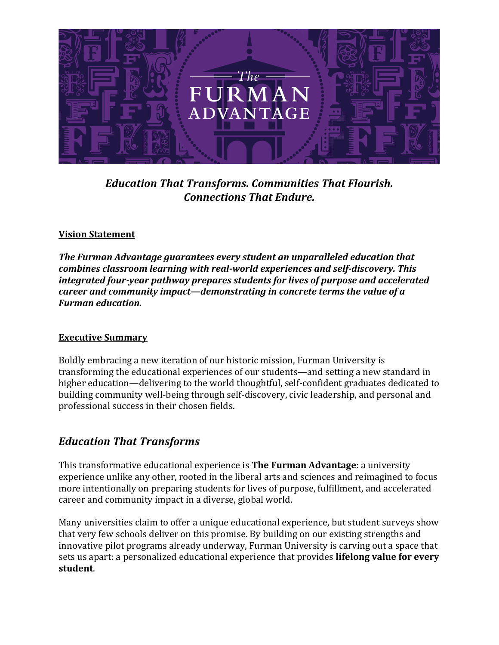

*Education That Transforms. Communities That Flourish. Connections That Endure.* 

#### **Vision Statement**

*The Furman Advantage guarantees every student an unparalleled education that combines classroom learning with real-world experiences and self-discovery. This integrated four-year pathway prepares students for lives of purpose and accelerated career and community impact—demonstrating in concrete terms the value of a Furman education.* 

## **Executive Summary**

Boldly embracing a new iteration of our historic mission, Furman University is transforming the educational experiences of our students—and setting a new standard in higher education—delivering to the world thoughtful, self-confident graduates dedicated to building community well-being through self-discovery, civic leadership, and personal and professional success in their chosen fields. 

## *Education That Transforms*

This transformative educational experience is **The Furman Advantage**: a university experience unlike any other, rooted in the liberal arts and sciences and reimagined to focus more intentionally on preparing students for lives of purpose, fulfillment, and accelerated career and community impact in a diverse, global world.

Many universities claim to offer a unique educational experience, but student surveys show that very few schools deliver on this promise. By building on our existing strengths and innovative pilot programs already underway, Furman University is carving out a space that sets us apart: a personalized educational experience that provides **lifelong value for every student**.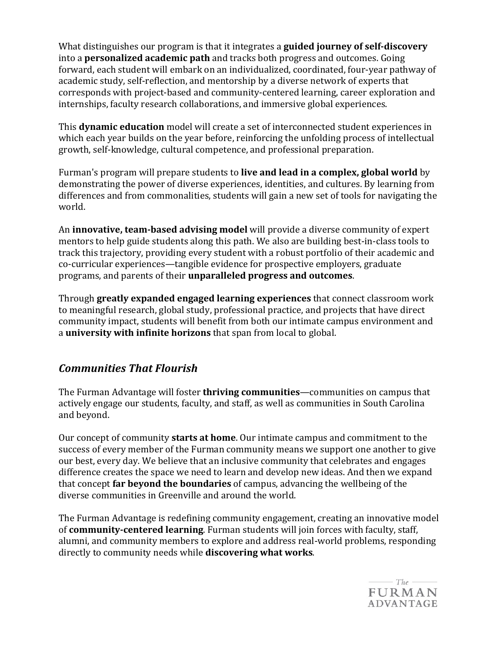What distinguishes our program is that it integrates a **guided journey of self-discovery** into a **personalized academic path** and tracks both progress and outcomes. Going forward, each student will embark on an individualized, coordinated, four-year pathway of academic study, self-reflection, and mentorship by a diverse network of experts that corresponds with project-based and community-centered learning, career exploration and internships, faculty research collaborations, and immersive global experiences. 

This **dynamic education** model will create a set of interconnected student experiences in which each year builds on the year before, reinforcing the unfolding process of intellectual growth, self-knowledge, cultural competence, and professional preparation.

Furman's program will prepare students to **live and lead in a complex, global world** by demonstrating the power of diverse experiences, identities, and cultures. By learning from differences and from commonalities, students will gain a new set of tools for navigating the world. 

An **innovative, team-based advising model** will provide a diverse community of expert mentors to help guide students along this path. We also are building best-in-class tools to track this trajectory, providing every student with a robust portfolio of their academic and co-curricular experiences—tangible evidence for prospective employers, graduate programs, and parents of their **unparalleled progress and outcomes**. 

Through **greatly expanded engaged learning experiences** that connect classroom work to meaningful research, global study, professional practice, and projects that have direct community impact, students will benefit from both our intimate campus environment and a **university with infinite horizons** that span from local to global. 

# *Communities That Flourish*

The Furman Advantage will foster **thriving communities**—communities on campus that actively engage our students, faculty, and staff, as well as communities in South Carolina and beyond. 

Our concept of community **starts at home**. Our intimate campus and commitment to the success of every member of the Furman community means we support one another to give our best, every day. We believe that an inclusive community that celebrates and engages difference creates the space we need to learn and develop new ideas. And then we expand that concept **far beyond the boundaries** of campus, advancing the wellbeing of the diverse communities in Greenville and around the world. 

The Furman Advantage is redefining community engagement, creating an innovative model of **community-centered learning**. Furman students will join forces with faculty, staff, alumni, and community members to explore and address real-world problems, responding directly to community needs while **discovering what works**. 

> $-$  The  $-$ **FURMAN ADVANTAGE**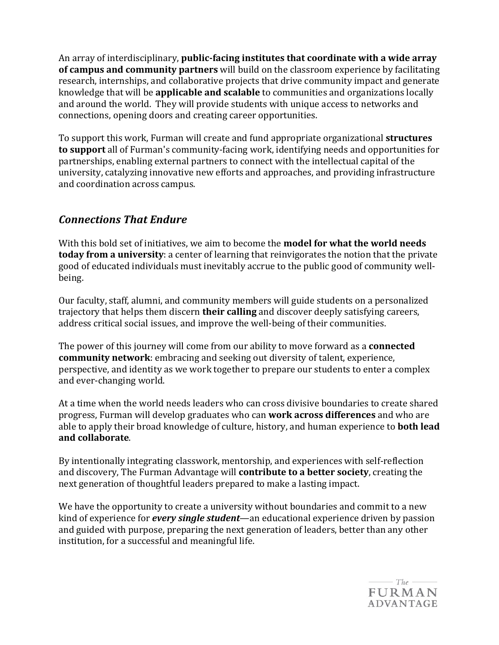An array of interdisciplinary, **public-facing institutes that coordinate with a wide array of campus and community partners** will build on the classroom experience by facilitating research, internships, and collaborative projects that drive community impact and generate knowledge that will be **applicable and scalable** to communities and organizations locally and around the world. They will provide students with unique access to networks and connections, opening doors and creating career opportunities. 

To support this work, Furman will create and fund appropriate organizational **structures to support** all of Furman's community-facing work, identifying needs and opportunities for partnerships, enabling external partners to connect with the intellectual capital of the university, catalyzing innovative new efforts and approaches, and providing infrastructure and coordination across campus. 

# *Connections* **That** *Endure*

With this bold set of initiatives, we aim to become the **model for what the world needs today from a university**: a center of learning that reinvigorates the notion that the private good of educated individuals must inevitably accrue to the public good of community wellbeing. 

Our faculty, staff, alumni, and community members will guide students on a personalized trajectory that helps them discern **their calling** and discover deeply satisfying careers, address critical social issues, and improve the well-being of their communities. 

The power of this journey will come from our ability to move forward as a **connected community network**: embracing and seeking out diversity of talent, experience, perspective, and identity as we work together to prepare our students to enter a complex and ever-changing world. 

At a time when the world needs leaders who can cross divisive boundaries to create shared progress, Furman will develop graduates who can **work across differences** and who are able to apply their broad knowledge of culture, history, and human experience to **both lead and collaborate**. 

By intentionally integrating classwork, mentorship, and experiences with self-reflection and discovery, The Furman Advantage will **contribute to a better society**, creating the next generation of thoughtful leaders prepared to make a lasting impact. 

We have the opportunity to create a university without boundaries and commit to a new kind of experience for *every single student*—an educational experience driven by passion and guided with purpose, preparing the next generation of leaders, better than any other institution, for a successful and meaningful life.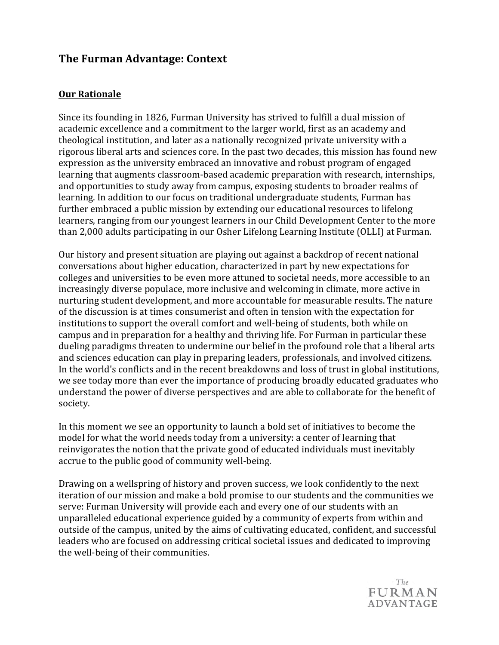## **The Furman Advantage: Context**

#### **Our Rationale**

Since its founding in 1826, Furman University has strived to fulfill a dual mission of academic excellence and a commitment to the larger world, first as an academy and theological institution, and later as a nationally recognized private university with a rigorous liberal arts and sciences core. In the past two decades, this mission has found new expression as the university embraced an innovative and robust program of engaged learning that augments classroom-based academic preparation with research, internships, and opportunities to study away from campus, exposing students to broader realms of learning. In addition to our focus on traditional undergraduate students, Furman has further embraced a public mission by extending our educational resources to lifelong learners, ranging from our youngest learners in our Child Development Center to the more than 2,000 adults participating in our Osher Lifelong Learning Institute (OLLI) at Furman. 

Our history and present situation are playing out against a backdrop of recent national conversations about higher education, characterized in part by new expectations for colleges and universities to be even more attuned to societal needs, more accessible to an increasingly diverse populace, more inclusive and welcoming in climate, more active in nurturing student development, and more accountable for measurable results. The nature of the discussion is at times consumerist and often in tension with the expectation for institutions to support the overall comfort and well-being of students, both while on campus and in preparation for a healthy and thriving life. For Furman in particular these dueling paradigms threaten to undermine our belief in the profound role that a liberal arts and sciences education can play in preparing leaders, professionals, and involved citizens. In the world's conflicts and in the recent breakdowns and loss of trust in global institutions, we see today more than ever the importance of producing broadly educated graduates who understand the power of diverse perspectives and are able to collaborate for the benefit of society. 

In this moment we see an opportunity to launch a bold set of initiatives to become the model for what the world needs today from a university: a center of learning that reinvigorates the notion that the private good of educated individuals must inevitably accrue to the public good of community well-being. 

Drawing on a wellspring of history and proven success, we look confidently to the next iteration of our mission and make a bold promise to our students and the communities we serve: Furman University will provide each and every one of our students with an unparalleled educational experience guided by a community of experts from within and outside of the campus, united by the aims of cultivating educated, confident, and successful leaders who are focused on addressing critical societal issues and dedicated to improving the well-being of their communities.

> $-$  The  $-$ **FURMAN ADVANTAGE**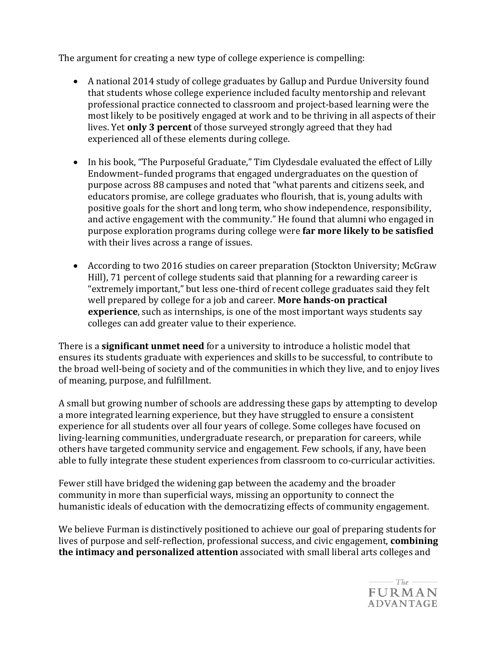The argument for creating a new type of college experience is compelling: 

- A national 2014 study of college graduates by Gallup and Purdue University found that students whose college experience included faculty mentorship and relevant professional practice connected to classroom and project-based learning were the most likely to be positively engaged at work and to be thriving in all aspects of their lives. Yet **only 3 percent** of those surveyed strongly agreed that they had experienced all of these elements during college.
- In his book, "The Purposeful Graduate," Tim Clydesdale evaluated the effect of Lilly Endowment–funded programs that engaged undergraduates on the question of purpose across 88 campuses and noted that "what parents and citizens seek, and educators promise, are college graduates who flourish, that is, young adults with positive goals for the short and long term, who show independence, responsibility, and active engagement with the community." He found that alumni who engaged in purpose exploration programs during college were **far more likely to be satisfied** with their lives across a range of issues.
- According to two 2016 studies on career preparation (Stockton University; McGraw Hill), 71 percent of college students said that planning for a rewarding career is "extremely important," but less one-third of recent college graduates said they felt well prepared by college for a job and career. **More hands-on practical experience**, such as internships, is one of the most important ways students say colleges can add greater value to their experience.

There is a **significant unmet need** for a university to introduce a holistic model that ensures its students graduate with experiences and skills to be successful, to contribute to the broad well-being of society and of the communities in which they live, and to enjoy lives of meaning, purpose, and fulfillment. 

A small but growing number of schools are addressing these gaps by attempting to develop a more integrated learning experience, but they have struggled to ensure a consistent experience for all students over all four years of college. Some colleges have focused on living-learning communities, undergraduate research, or preparation for careers, while others have targeted community service and engagement. Few schools, if any, have been able to fully integrate these student experiences from classroom to co-curricular activities. 

Fewer still have bridged the widening gap between the academy and the broader community in more than superficial ways, missing an opportunity to connect the humanistic ideals of education with the democratizing effects of community engagement. 

We believe Furman is distinctively positioned to achieve our goal of preparing students for lives of purpose and self-reflection, professional success, and civic engagement, **combining the intimacy and personalized attention** associated with small liberal arts colleges and

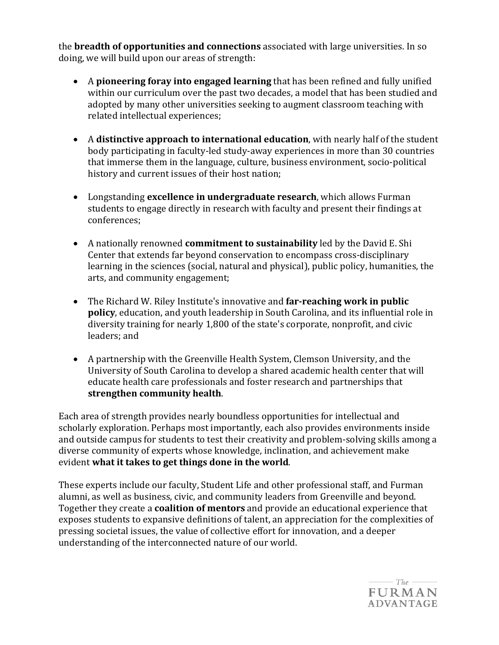the **breadth of opportunities and connections** associated with large universities. In so doing, we will build upon our areas of strength: 

- A **pioneering foray into engaged learning** that has been refined and fully unified within our curriculum over the past two decades, a model that has been studied and adopted by many other universities seeking to augment classroom teaching with related intellectual experiences;
- A **distinctive approach to international education**, with nearly half of the student body participating in faculty-led study-away experiences in more than 30 countries that immerse them in the language, culture, business environment, socio-political history and current issues of their host nation;
- Longstanding **excellence in undergraduate research**, which allows Furman students to engage directly in research with faculty and present their findings at conferences;
- A nationally renowned **commitment to sustainability** led by the David E. Shi Center that extends far beyond conservation to encompass cross-disciplinary learning in the sciences (social, natural and physical), public policy, humanities, the arts, and community engagement;
- The Richard W. Riley Institute's innovative and **far-reaching work in public policy**, education, and youth leadership in South Carolina, and its influential role in diversity training for nearly 1,800 of the state's corporate, nonprofit, and civic leaders; and
- A partnership with the Greenville Health System, Clemson University, and the University of South Carolina to develop a shared academic health center that will educate health care professionals and foster research and partnerships that **strengthen community health**.

Each area of strength provides nearly boundless opportunities for intellectual and scholarly exploration. Perhaps most importantly, each also provides environments inside and outside campus for students to test their creativity and problem-solving skills among a diverse community of experts whose knowledge, inclination, and achievement make evident **what it takes to get things done in the world**.

These experts include our faculty, Student Life and other professional staff, and Furman alumni, as well as business, civic, and community leaders from Greenville and beyond. Together they create a **coalition of mentors** and provide an educational experience that exposes students to expansive definitions of talent, an appreciation for the complexities of pressing societal issues, the value of collective effort for innovation, and a deeper understanding of the interconnected nature of our world. 

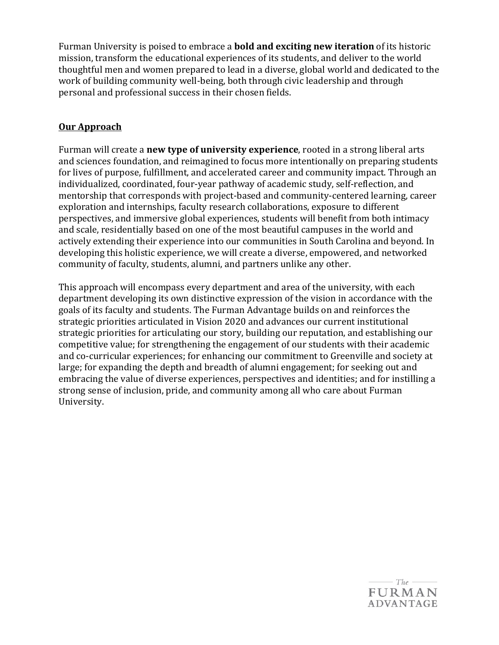Furman University is poised to embrace a **bold and exciting new iteration** of its historic mission, transform the educational experiences of its students, and deliver to the world thoughtful men and women prepared to lead in a diverse, global world and dedicated to the work of building community well-being, both through civic leadership and through personal and professional success in their chosen fields. 

## **Our Approach**

Furman will create a **new type of university experience**, rooted in a strong liberal arts and sciences foundation, and reimagined to focus more intentionally on preparing students for lives of purpose, fulfillment, and accelerated career and community impact. Through an individualized, coordinated, four-year pathway of academic study, self-reflection, and mentorship that corresponds with project-based and community-centered learning, career exploration and internships, faculty research collaborations, exposure to different perspectives, and immersive global experiences, students will benefit from both intimacy and scale, residentially based on one of the most beautiful campuses in the world and actively extending their experience into our communities in South Carolina and beyond. In developing this holistic experience, we will create a diverse, empowered, and networked community of faculty, students, alumni, and partners unlike any other. 

This approach will encompass every department and area of the university, with each department developing its own distinctive expression of the vision in accordance with the goals of its faculty and students. The Furman Advantage builds on and reinforces the strategic priorities articulated in Vision 2020 and advances our current institutional strategic priorities for articulating our story, building our reputation, and establishing our competitive value; for strengthening the engagement of our students with their academic and co-curricular experiences; for enhancing our commitment to Greenville and society at large; for expanding the depth and breadth of alumni engagement; for seeking out and embracing the value of diverse experiences, perspectives and identities; and for instilling a strong sense of inclusion, pride, and community among all who care about Furman University.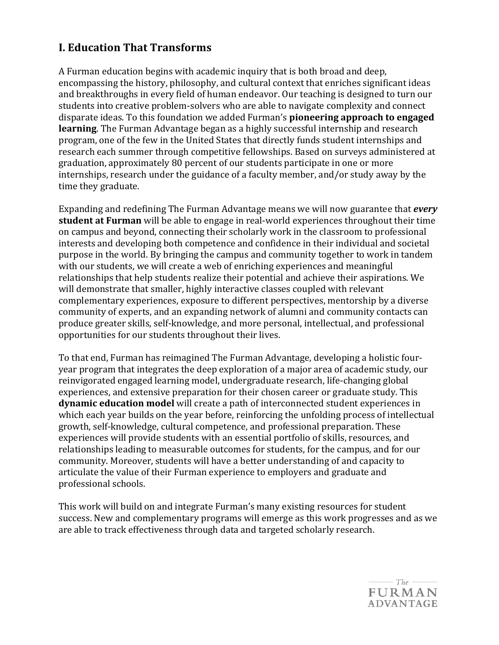## **I. Education That Transforms**

A Furman education begins with academic inquiry that is both broad and deep, encompassing the history, philosophy, and cultural context that enriches significant ideas and breakthroughs in every field of human endeavor. Our teaching is designed to turn our students into creative problem-solvers who are able to navigate complexity and connect disparate ideas. To this foundation we added Furman's **pioneering approach to engaged learning**. The Furman Advantage began as a highly successful internship and research program, one of the few in the United States that directly funds student internships and research each summer through competitive fellowships. Based on surveys administered at graduation, approximately 80 percent of our students participate in one or more internships, research under the guidance of a faculty member, and/or study away by the time they graduate.

Expanding and redefining The Furman Advantage means we will now guarantee that *every* **student at Furman** will be able to engage in real-world experiences throughout their time on campus and beyond, connecting their scholarly work in the classroom to professional interests and developing both competence and confidence in their individual and societal purpose in the world. By bringing the campus and community together to work in tandem with our students, we will create a web of enriching experiences and meaningful relationships that help students realize their potential and achieve their aspirations. We will demonstrate that smaller, highly interactive classes coupled with relevant complementary experiences, exposure to different perspectives, mentorship by a diverse community of experts, and an expanding network of alumni and community contacts can produce greater skills, self-knowledge, and more personal, intellectual, and professional opportunities for our students throughout their lives. 

To that end, Furman has reimagined The Furman Advantage, developing a holistic fouryear program that integrates the deep exploration of a major area of academic study, our reinvigorated engaged learning model, undergraduate research, life-changing global experiences, and extensive preparation for their chosen career or graduate study. This **dynamic education model** will create a path of interconnected student experiences in which each year builds on the year before, reinforcing the unfolding process of intellectual growth, self-knowledge, cultural competence, and professional preparation. These experiences will provide students with an essential portfolio of skills, resources, and relationships leading to measurable outcomes for students, for the campus, and for our community. Moreover, students will have a better understanding of and capacity to articulate the value of their Furman experience to employers and graduate and professional schools. 

This work will build on and integrate Furman's many existing resources for student success. New and complementary programs will emerge as this work progresses and as we are able to track effectiveness through data and targeted scholarly research.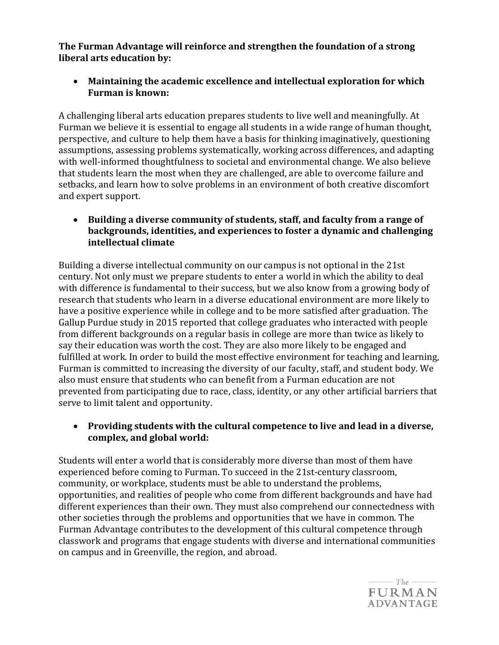**The Furman Advantage will reinforce and strengthen the foundation of a strong liberal arts education by:** 

• **Maintaining the academic excellence and intellectual exploration for which Furman is known:**

A challenging liberal arts education prepares students to live well and meaningfully. At Furman we believe it is essential to engage all students in a wide range of human thought, perspective, and culture to help them have a basis for thinking imaginatively, questioning assumptions, assessing problems systematically, working across differences, and adapting with well-informed thoughtfulness to societal and environmental change. We also believe that students learn the most when they are challenged, are able to overcome failure and setbacks, and learn how to solve problems in an environment of both creative discomfort and expert support. 

• **Building a diverse community of students, staff, and faculty from a range of backgrounds, identities, and experiences to foster a dynamic and challenging intellectual climate**

Building a diverse intellectual community on our campus is not optional in the 21st century. Not only must we prepare students to enter a world in which the ability to deal with difference is fundamental to their success, but we also know from a growing body of research that students who learn in a diverse educational environment are more likely to have a positive experience while in college and to be more satisfied after graduation. The Gallup Purdue study in 2015 reported that college graduates who interacted with people from different backgrounds on a regular basis in college are more than twice as likely to say their education was worth the cost. They are also more likely to be engaged and fulfilled at work. In order to build the most effective environment for teaching and learning, Furman is committed to increasing the diversity of our faculty, staff, and student body. We also must ensure that students who can benefit from a Furman education are not prevented from participating due to race, class, identity, or any other artificial barriers that serve to limit talent and opportunity.

#### • **Providing students with the cultural competence to live and lead in a diverse, complex, and global world:**

Students will enter a world that is considerably more diverse than most of them have experienced before coming to Furman. To succeed in the 21st-century classroom, community, or workplace, students must be able to understand the problems, opportunities, and realities of people who come from different backgrounds and have had different experiences than their own. They must also comprehend our connectedness with other societies through the problems and opportunities that we have in common. The Furman Advantage contributes to the development of this cultural competence through classwork and programs that engage students with diverse and international communities on campus and in Greenville, the region, and abroad. 

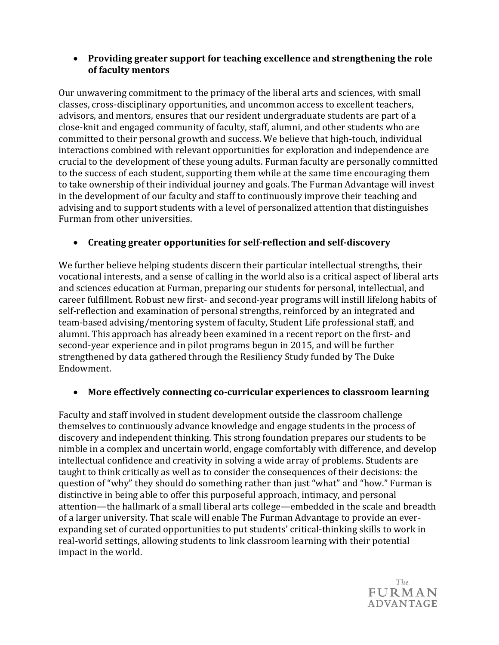#### • **Providing greater support for teaching excellence and strengthening the role of faculty mentors**

Our unwavering commitment to the primacy of the liberal arts and sciences, with small classes, cross-disciplinary opportunities, and uncommon access to excellent teachers, advisors, and mentors, ensures that our resident undergraduate students are part of a close-knit and engaged community of faculty, staff, alumni, and other students who are committed to their personal growth and success. We believe that high-touch, individual interactions combined with relevant opportunities for exploration and independence are crucial to the development of these young adults. Furman faculty are personally committed to the success of each student, supporting them while at the same time encouraging them to take ownership of their individual journey and goals. The Furman Advantage will invest in the development of our faculty and staff to continuously improve their teaching and advising and to support students with a level of personalized attention that distinguishes Furman from other universities.

## • **Creating greater opportunities for self-reflection and self-discovery**

We further believe helping students discern their particular intellectual strengths, their vocational interests, and a sense of calling in the world also is a critical aspect of liberal arts and sciences education at Furman, preparing our students for personal, intellectual, and career fulfillment. Robust new first- and second-year programs will instill lifelong habits of self-reflection and examination of personal strengths, reinforced by an integrated and team-based advising/mentoring system of faculty, Student Life professional staff, and alumni. This approach has already been examined in a recent report on the first- and second-year experience and in pilot programs begun in 2015, and will be further strengthened by data gathered through the Resiliency Study funded by The Duke Endowment. 

## • **More effectively connecting co-curricular experiences to classroom learning**

Faculty and staff involved in student development outside the classroom challenge themselves to continuously advance knowledge and engage students in the process of discovery and independent thinking. This strong foundation prepares our students to be nimble in a complex and uncertain world, engage comfortably with difference, and develop intellectual confidence and creativity in solving a wide array of problems. Students are taught to think critically as well as to consider the consequences of their decisions: the question of "why" they should do something rather than just "what" and "how." Furman is distinctive in being able to offer this purposeful approach, intimacy, and personal attention—the hallmark of a small liberal arts college—embedded in the scale and breadth of a larger university. That scale will enable The Furman Advantage to provide an everexpanding set of curated opportunities to put students' critical-thinking skills to work in real-world settings, allowing students to link classroom learning with their potential impact in the world. 

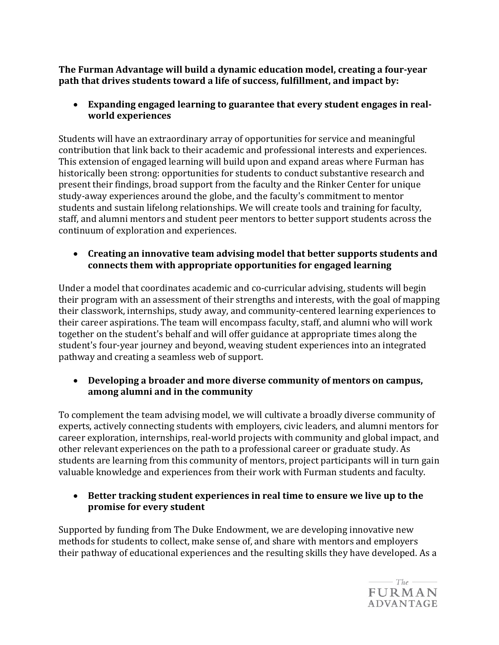**The Furman Advantage will build a dynamic education model, creating a four-year path that drives students toward a life of success, fulfillment, and impact by:** 

• **Expanding engaged learning to guarantee that every student engages in realworld experiences**

Students will have an extraordinary array of opportunities for service and meaningful contribution that link back to their academic and professional interests and experiences. This extension of engaged learning will build upon and expand areas where Furman has historically been strong: opportunities for students to conduct substantive research and present their findings, broad support from the faculty and the Rinker Center for unique study-away experiences around the globe, and the faculty's commitment to mentor students and sustain lifelong relationships. We will create tools and training for faculty, staff, and alumni mentors and student peer mentors to better support students across the continuum of exploration and experiences. 

• **Creating an innovative team advising model that better supports students and connects them with appropriate opportunities for engaged learning**

Under a model that coordinates academic and co-curricular advising, students will begin their program with an assessment of their strengths and interests, with the goal of mapping their classwork, internships, study away, and community-centered learning experiences to their career aspirations. The team will encompass faculty, staff, and alumni who will work together on the student's behalf and will offer guidance at appropriate times along the student's four-year journey and beyond, weaving student experiences into an integrated pathway and creating a seamless web of support. 

## • **Developing a broader and more diverse community of mentors on campus, among alumni and in the community**

To complement the team advising model, we will cultivate a broadly diverse community of experts, actively connecting students with employers, civic leaders, and alumni mentors for career exploration, internships, real-world projects with community and global impact, and other relevant experiences on the path to a professional career or graduate study. As students are learning from this community of mentors, project participants will in turn gain valuable knowledge and experiences from their work with Furman students and faculty. 

• **Better tracking student experiences in real time to ensure we live up to the promise for every student**

Supported by funding from The Duke Endowment, we are developing innovative new methods for students to collect, make sense of, and share with mentors and employers their pathway of educational experiences and the resulting skills they have developed. As a

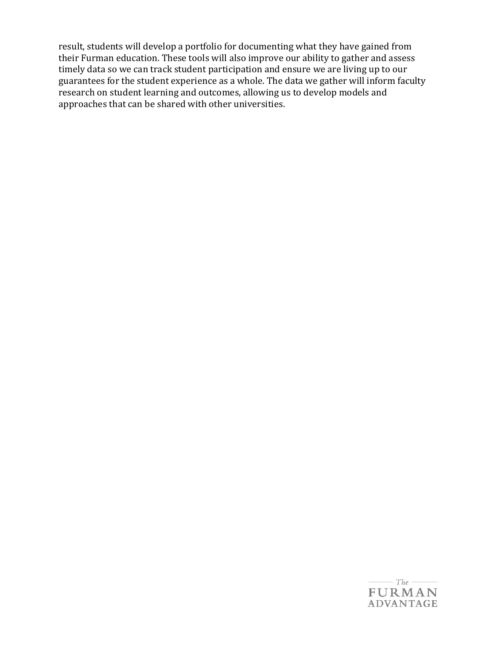result, students will develop a portfolio for documenting what they have gained from their Furman education. These tools will also improve our ability to gather and assess timely data so we can track student participation and ensure we are living up to our guarantees for the student experience as a whole. The data we gather will inform faculty research on student learning and outcomes, allowing us to develop models and approaches that can be shared with other universities.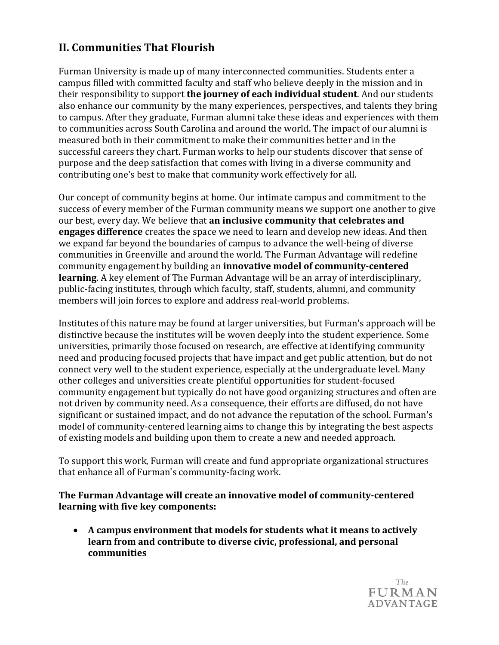# **II. Communities That Flourish**

Furman University is made up of many interconnected communities. Students enter a campus filled with committed faculty and staff who believe deeply in the mission and in their responsibility to support **the journey of each individual student**. And our students also enhance our community by the many experiences, perspectives, and talents they bring to campus. After they graduate, Furman alumni take these ideas and experiences with them to communities across South Carolina and around the world. The impact of our alumni is measured both in their commitment to make their communities better and in the successful careers they chart. Furman works to help our students discover that sense of purpose and the deep satisfaction that comes with living in a diverse community and contributing one's best to make that community work effectively for all. 

Our concept of community begins at home. Our intimate campus and commitment to the success of every member of the Furman community means we support one another to give our best, every day. We believe that **an inclusive community that celebrates and engages difference** creates the space we need to learn and develop new ideas. And then we expand far beyond the boundaries of campus to advance the well-being of diverse communities in Greenville and around the world. The Furman Advantage will redefine community engagement by building an **innovative model of community-centered learning**. A key element of The Furman Advantage will be an array of interdisciplinary, public-facing institutes, through which faculty, staff, students, alumni, and community members will join forces to explore and address real-world problems. 

Institutes of this nature may be found at larger universities, but Furman's approach will be distinctive because the institutes will be woven deeply into the student experience. Some universities, primarily those focused on research, are effective at identifying community need and producing focused projects that have impact and get public attention, but do not connect very well to the student experience, especially at the undergraduate level. Many other colleges and universities create plentiful opportunities for student-focused community engagement but typically do not have good organizing structures and often are not driven by community need. As a consequence, their efforts are diffused, do not have significant or sustained impact, and do not advance the reputation of the school. Furman's model of community-centered learning aims to change this by integrating the best aspects of existing models and building upon them to create a new and needed approach. 

To support this work, Furman will create and fund appropriate organizational structures that enhance all of Furman's community-facing work. 

**The Furman Advantage will create an innovative model of community-centered learning with five key components:** 

• **A campus environment that models for students what it means to actively learn from and contribute to diverse civic, professional, and personal communities** 

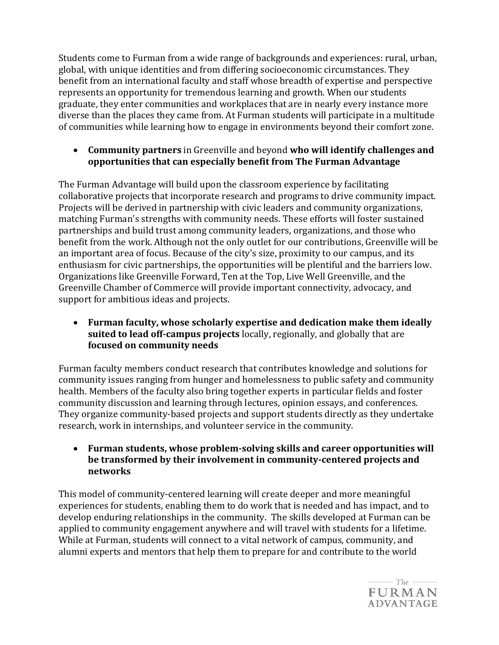Students come to Furman from a wide range of backgrounds and experiences: rural, urban, global, with unique identities and from differing socioeconomic circumstances. They benefit from an international faculty and staff whose breadth of expertise and perspective represents an opportunity for tremendous learning and growth. When our students graduate, they enter communities and workplaces that are in nearly every instance more diverse than the places they came from. At Furman students will participate in a multitude of communities while learning how to engage in environments beyond their comfort zone. 

• **Community partners** in Greenville and beyond **who will identify challenges and opportunities that can especially benefit from The Furman Advantage**

The Furman Advantage will build upon the classroom experience by facilitating collaborative projects that incorporate research and programs to drive community impact. Projects will be derived in partnership with civic leaders and community organizations, matching Furman's strengths with community needs. These efforts will foster sustained partnerships and build trust among community leaders, organizations, and those who benefit from the work. Although not the only outlet for our contributions, Greenville will be an important area of focus. Because of the city's size, proximity to our campus, and its enthusiasm for civic partnerships, the opportunities will be plentiful and the barriers low. Organizations like Greenville Forward, Ten at the Top, Live Well Greenville, and the Greenville Chamber of Commerce will provide important connectivity, advocacy, and support for ambitious ideas and projects. 

• **Furman faculty, whose scholarly expertise and dedication make them ideally suited to lead off-campus projects** locally, regionally, and globally that are **focused on community needs**

Furman faculty members conduct research that contributes knowledge and solutions for community issues ranging from hunger and homelessness to public safety and community health. Members of the faculty also bring together experts in particular fields and foster community discussion and learning through lectures, opinion essays, and conferences. They organize community-based projects and support students directly as they undertake research, work in internships, and volunteer service in the community. 

• **Furman students, whose problem-solving skills and career opportunities will be transformed by their involvement in community-centered projects and networks**

This model of community-centered learning will create deeper and more meaningful experiences for students, enabling them to do work that is needed and has impact, and to develop enduring relationships in the community. The skills developed at Furman can be applied to community engagement anywhere and will travel with students for a lifetime. While at Furman, students will connect to a vital network of campus, community, and alumni experts and mentors that help them to prepare for and contribute to the world

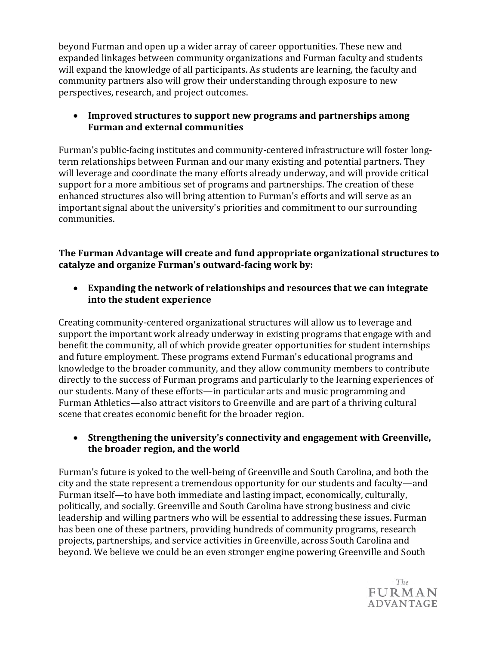beyond Furman and open up a wider array of career opportunities. These new and expanded linkages between community organizations and Furman faculty and students will expand the knowledge of all participants. As students are learning, the faculty and community partners also will grow their understanding through exposure to new perspectives, research, and project outcomes. 

## • **Improved structures to support new programs and partnerships among Furman and external communities**

Furman's public-facing institutes and community-centered infrastructure will foster longterm relationships between Furman and our many existing and potential partners. They will leverage and coordinate the many efforts already underway, and will provide critical support for a more ambitious set of programs and partnerships. The creation of these enhanced structures also will bring attention to Furman's efforts and will serve as an important signal about the university's priorities and commitment to our surrounding communities. 

**The Furman Advantage will create and fund appropriate organizational structures to catalyze and organize Furman's outward-facing work by:** 

• **Expanding the network of relationships and resources that we can integrate into the student experience**

Creating community-centered organizational structures will allow us to leverage and support the important work already underway in existing programs that engage with and benefit the community, all of which provide greater opportunities for student internships and future employment. These programs extend Furman's educational programs and knowledge to the broader community, and they allow community members to contribute directly to the success of Furman programs and particularly to the learning experiences of our students. Many of these efforts—in particular arts and music programming and Furman Athletics—also attract visitors to Greenville and are part of a thriving cultural scene that creates economic benefit for the broader region. 

#### • **Strengthening the university's connectivity and engagement with Greenville, the broader region, and the world**

Furman's future is yoked to the well-being of Greenville and South Carolina, and both the city and the state represent a tremendous opportunity for our students and faculty—and Furman itself—to have both immediate and lasting impact, economically, culturally, politically, and socially. Greenville and South Carolina have strong business and civic leadership and willing partners who will be essential to addressing these issues. Furman has been one of these partners, providing hundreds of community programs, research projects, partnerships, and service activities in Greenville, across South Carolina and beyond. We believe we could be an even stronger engine powering Greenville and South

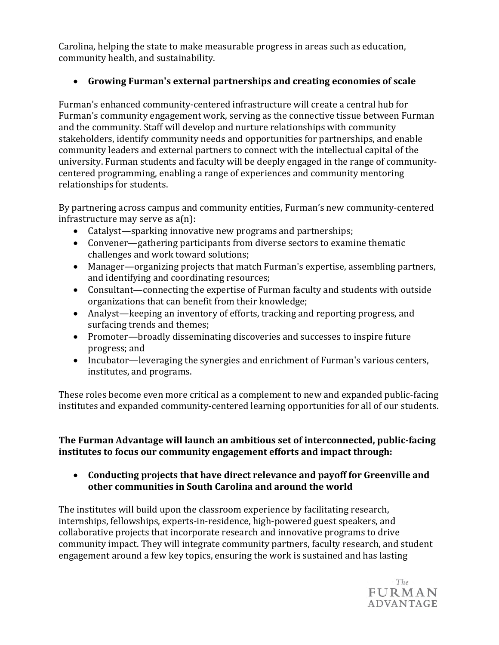Carolina, helping the state to make measurable progress in areas such as education, community health, and sustainability. 

## • **Growing Furman's external partnerships and creating economies of scale**

Furman's enhanced community-centered infrastructure will create a central hub for Furman's community engagement work, serving as the connective tissue between Furman and the community. Staff will develop and nurture relationships with community stakeholders, identify community needs and opportunities for partnerships, and enable community leaders and external partners to connect with the intellectual capital of the university. Furman students and faculty will be deeply engaged in the range of communitycentered programming, enabling a range of experiences and community mentoring relationships for students.

By partnering across campus and community entities, Furman's new community-centered infrastructure may serve as a(n):

- Catalyst—sparking innovative new programs and partnerships;
- Convener—gathering participants from diverse sectors to examine thematic challenges and work toward solutions;
- Manager—organizing projects that match Furman's expertise, assembling partners, and identifying and coordinating resources;
- Consultant—connecting the expertise of Furman faculty and students with outside organizations that can benefit from their knowledge;
- Analyst—keeping an inventory of efforts, tracking and reporting progress, and surfacing trends and themes;
- Promoter—broadly disseminating discoveries and successes to inspire future progress; and
- Incubator—leveraging the synergies and enrichment of Furman's various centers, institutes, and programs.

These roles become even more critical as a complement to new and expanded public-facing institutes and expanded community-centered learning opportunities for all of our students. 

**The Furman Advantage will launch an ambitious set of interconnected, public-facing institutes** to focus our community engagement efforts and impact through:

• **Conducting projects that have direct relevance and payoff for Greenville and other communities in South Carolina and around the world**

The institutes will build upon the classroom experience by facilitating research, internships, fellowships, experts-in-residence, high-powered guest speakers, and collaborative projects that incorporate research and innovative programs to drive community impact. They will integrate community partners, faculty research, and student engagement around a few key topics, ensuring the work is sustained and has lasting

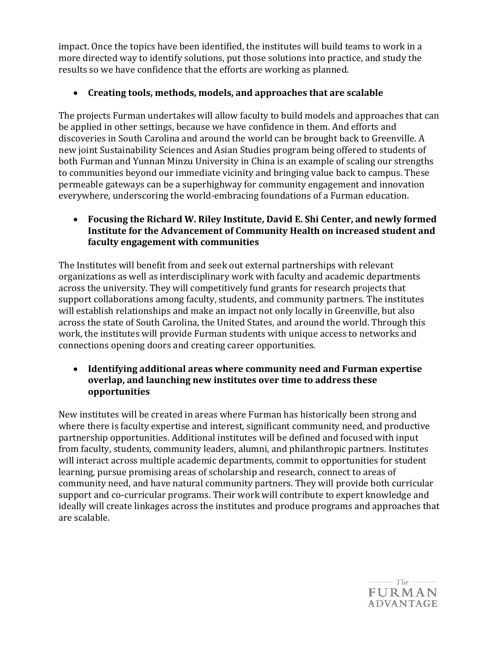impact. Once the topics have been identified, the institutes will build teams to work in a more directed way to identify solutions, put those solutions into practice, and study the results so we have confidence that the efforts are working as planned. 

## • **Creating tools, methods, models, and approaches that are scalable**

The projects Furman undertakes will allow faculty to build models and approaches that can be applied in other settings, because we have confidence in them. And efforts and discoveries in South Carolina and around the world can be brought back to Greenville. A new joint Sustainability Sciences and Asian Studies program being offered to students of both Furman and Yunnan Minzu University in China is an example of scaling our strengths to communities beyond our immediate vicinity and bringing value back to campus. These permeable gateways can be a superhighway for community engagement and innovation everywhere, underscoring the world-embracing foundations of a Furman education. 

## • **Focusing the Richard W. Riley Institute, David E. Shi Center, and newly formed Institute for the Advancement of Community Health on increased student and faculty engagement with communities**

The Institutes will benefit from and seek out external partnerships with relevant organizations as well as interdisciplinary work with faculty and academic departments across the university. They will competitively fund grants for research projects that support collaborations among faculty, students, and community partners. The institutes will establish relationships and make an impact not only locally in Greenville, but also across the state of South Carolina, the United States, and around the world. Through this work, the institutes will provide Furman students with unique access to networks and connections opening doors and creating career opportunities. 

#### • **Identifying additional areas where community need and Furman expertise overlap, and launching new institutes over time to address these opportunities**

New institutes will be created in areas where Furman has historically been strong and where there is faculty expertise and interest, significant community need, and productive partnership opportunities. Additional institutes will be defined and focused with input from faculty, students, community leaders, alumni, and philanthropic partners. Institutes will interact across multiple academic departments, commit to opportunities for student learning, pursue promising areas of scholarship and research, connect to areas of community need, and have natural community partners. They will provide both curricular support and co-curricular programs. Their work will contribute to expert knowledge and ideally will create linkages across the institutes and produce programs and approaches that are scalable.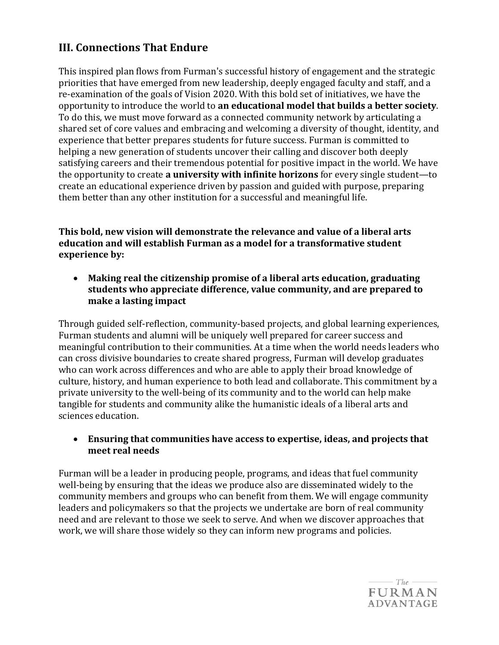# **III. Connections That Endure**

This inspired plan flows from Furman's successful history of engagement and the strategic priorities that have emerged from new leadership, deeply engaged faculty and staff, and a re-examination of the goals of Vision 2020. With this bold set of initiatives, we have the opportunity to introduce the world to **an educational model that builds a better society**. To do this, we must move forward as a connected community network by articulating a shared set of core values and embracing and welcoming a diversity of thought, identity, and experience that better prepares students for future success. Furman is committed to helping a new generation of students uncover their calling and discover both deeply satisfying careers and their tremendous potential for positive impact in the world. We have the opportunity to create **a university with infinite horizons** for every single student—to create an educational experience driven by passion and guided with purpose, preparing them better than any other institution for a successful and meaningful life. 

**This bold, new vision will demonstrate the relevance and value of a liberal arts education and will establish Furman as a model for a transformative student experience** by:

• **Making real the citizenship promise of a liberal arts education, graduating students who appreciate difference, value community, and are prepared to make a lasting impact**

Through guided self-reflection, community-based projects, and global learning experiences, Furman students and alumni will be uniquely well prepared for career success and meaningful contribution to their communities. At a time when the world needs leaders who can cross divisive boundaries to create shared progress, Furman will develop graduates who can work across differences and who are able to apply their broad knowledge of culture, history, and human experience to both lead and collaborate. This commitment by a private university to the well-being of its community and to the world can help make tangible for students and community alike the humanistic ideals of a liberal arts and sciences education. 

#### • **Ensuring that communities have access to expertise, ideas, and projects that meet real needs**

Furman will be a leader in producing people, programs, and ideas that fuel community well-being by ensuring that the ideas we produce also are disseminated widely to the community members and groups who can benefit from them. We will engage community leaders and policymakers so that the projects we undertake are born of real community need and are relevant to those we seek to serve. And when we discover approaches that work, we will share those widely so they can inform new programs and policies.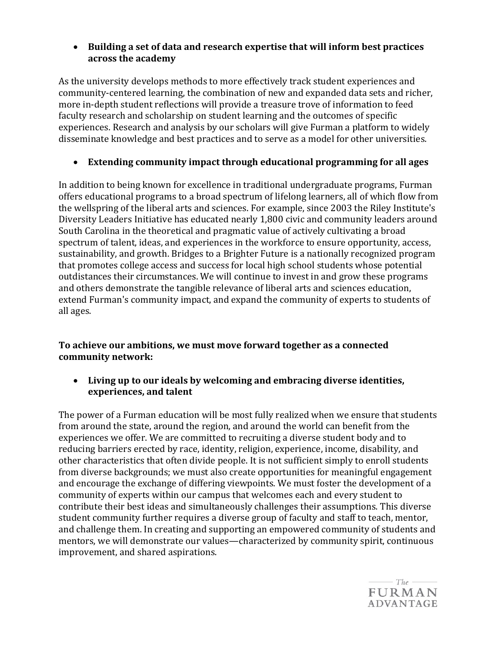## • **Building a set of data and research expertise that will inform best practices across the academy**

As the university develops methods to more effectively track student experiences and community-centered learning, the combination of new and expanded data sets and richer, more in-depth student reflections will provide a treasure trove of information to feed faculty research and scholarship on student learning and the outcomes of specific experiences. Research and analysis by our scholars will give Furman a platform to widely disseminate knowledge and best practices and to serve as a model for other universities. 

## • **Extending community impact through educational programming for all ages**

In addition to being known for excellence in traditional undergraduate programs, Furman offers educational programs to a broad spectrum of lifelong learners, all of which flow from the wellspring of the liberal arts and sciences. For example, since 2003 the Riley Institute's Diversity Leaders Initiative has educated nearly 1,800 civic and community leaders around South Carolina in the theoretical and pragmatic value of actively cultivating a broad spectrum of talent, ideas, and experiences in the workforce to ensure opportunity, access, sustainability, and growth. Bridges to a Brighter Future is a nationally recognized program that promotes college access and success for local high school students whose potential outdistances their circumstances. We will continue to invest in and grow these programs and others demonstrate the tangible relevance of liberal arts and sciences education, extend Furman's community impact, and expand the community of experts to students of all ages. 

#### **To achieve our ambitions, we must move forward together as a connected community network:**

• **Living up to our ideals by welcoming and embracing diverse identities, experiences, and talent**

The power of a Furman education will be most fully realized when we ensure that students from around the state, around the region, and around the world can benefit from the experiences we offer. We are committed to recruiting a diverse student body and to reducing barriers erected by race, identity, religion, experience, income, disability, and other characteristics that often divide people. It is not sufficient simply to enroll students from diverse backgrounds; we must also create opportunities for meaningful engagement and encourage the exchange of differing viewpoints. We must foster the development of a community of experts within our campus that welcomes each and every student to contribute their best ideas and simultaneously challenges their assumptions. This diverse student community further requires a diverse group of faculty and staff to teach, mentor, and challenge them. In creating and supporting an empowered community of students and mentors, we will demonstrate our values—characterized by community spirit, continuous improvement, and shared aspirations. 

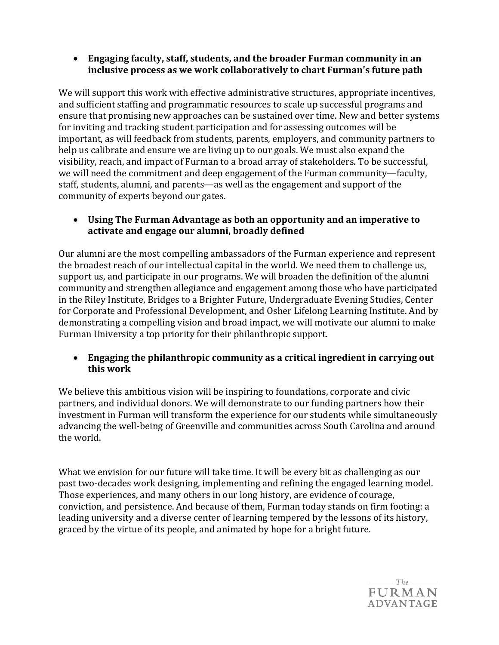• **Engaging faculty, staff, students, and the broader Furman community in an inclusive process as we work collaboratively to chart Furman's future path**

We will support this work with effective administrative structures, appropriate incentives, and sufficient staffing and programmatic resources to scale up successful programs and ensure that promising new approaches can be sustained over time. New and better systems for inviting and tracking student participation and for assessing outcomes will be important, as will feedback from students, parents, employers, and community partners to help us calibrate and ensure we are living up to our goals. We must also expand the visibility, reach, and impact of Furman to a broad array of stakeholders. To be successful, we will need the commitment and deep engagement of the Furman community—faculty, staff, students, alumni, and parents—as well as the engagement and support of the community of experts beyond our gates. 

### • **Using The Furman Advantage as both an opportunity and an imperative to activate and engage our alumni, broadly defined**

Our alumni are the most compelling ambassadors of the Furman experience and represent the broadest reach of our intellectual capital in the world. We need them to challenge us, support us, and participate in our programs. We will broaden the definition of the alumni community and strengthen allegiance and engagement among those who have participated in the Riley Institute, Bridges to a Brighter Future, Undergraduate Evening Studies, Center for Corporate and Professional Development, and Osher Lifelong Learning Institute. And by demonstrating a compelling vision and broad impact, we will motivate our alumni to make Furman University a top priority for their philanthropic support. 

#### • **Engaging the philanthropic community as a critical ingredient in carrying out this work**

We believe this ambitious vision will be inspiring to foundations, corporate and civic partners, and individual donors. We will demonstrate to our funding partners how their investment in Furman will transform the experience for our students while simultaneously advancing the well-being of Greenville and communities across South Carolina and around the world. 

What we envision for our future will take time. It will be every bit as challenging as our past two-decades work designing, implementing and refining the engaged learning model. Those experiences, and many others in our long history, are evidence of courage, conviction, and persistence. And because of them, Furman today stands on firm footing: a leading university and a diverse center of learning tempered by the lessons of its history, graced by the virtue of its people, and animated by hope for a bright future.